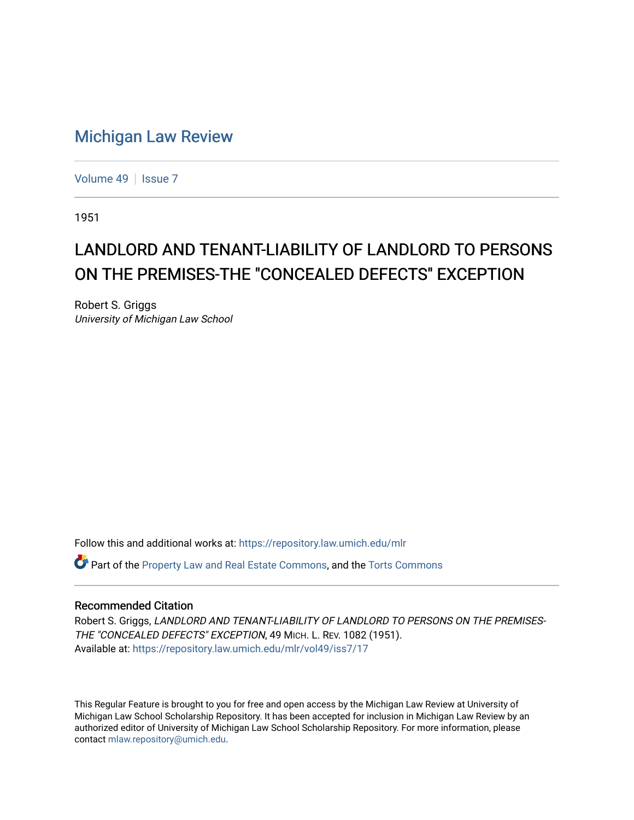## [Michigan Law Review](https://repository.law.umich.edu/mlr)

[Volume 49](https://repository.law.umich.edu/mlr/vol49) | [Issue 7](https://repository.law.umich.edu/mlr/vol49/iss7)

1951

## LANDLORD AND TENANT-LIABILITY OF LANDLORD TO PERSONS ON THE PREMISES-THE "CONCEALED DEFECTS" EXCEPTION

Robert S. Griggs University of Michigan Law School

Follow this and additional works at: [https://repository.law.umich.edu/mlr](https://repository.law.umich.edu/mlr?utm_source=repository.law.umich.edu%2Fmlr%2Fvol49%2Fiss7%2F17&utm_medium=PDF&utm_campaign=PDFCoverPages) 

Part of the [Property Law and Real Estate Commons,](https://network.bepress.com/hgg/discipline/897?utm_source=repository.law.umich.edu%2Fmlr%2Fvol49%2Fiss7%2F17&utm_medium=PDF&utm_campaign=PDFCoverPages) and the [Torts Commons](https://network.bepress.com/hgg/discipline/913?utm_source=repository.law.umich.edu%2Fmlr%2Fvol49%2Fiss7%2F17&utm_medium=PDF&utm_campaign=PDFCoverPages) 

## Recommended Citation

Robert S. Griggs, LANDLORD AND TENANT-LIABILITY OF LANDLORD TO PERSONS ON THE PREMISES-THE "CONCEALED DEFECTS" EXCEPTION, 49 MICH. L. REV. 1082 (1951). Available at: [https://repository.law.umich.edu/mlr/vol49/iss7/17](https://repository.law.umich.edu/mlr/vol49/iss7/17?utm_source=repository.law.umich.edu%2Fmlr%2Fvol49%2Fiss7%2F17&utm_medium=PDF&utm_campaign=PDFCoverPages) 

This Regular Feature is brought to you for free and open access by the Michigan Law Review at University of Michigan Law School Scholarship Repository. It has been accepted for inclusion in Michigan Law Review by an authorized editor of University of Michigan Law School Scholarship Repository. For more information, please contact [mlaw.repository@umich.edu](mailto:mlaw.repository@umich.edu).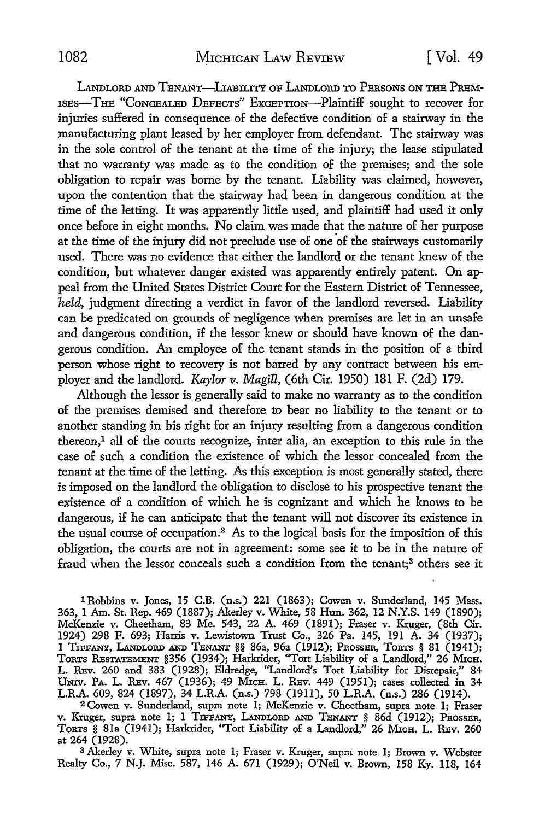LANDLORD AND TENANT-LIABILITY OF LANDLORD TO PERSONS ON THE PREM-ISES-THE "CONCEALED DEFECTS" ExcEPTION-Plaintiff sought to recover for injuries suffered in consequence of the defective condition of a stairway in the manufacturing plant leased by her employer from defendant. The stairway was in the sole control of the tenant at the time of the injury; the lease stipulated that no warranty was made as to the condition of the premises; and the sole obligation to repair was borne by the tenant. Liability was claimed, however, upon the contention that the stairway had been in dangerous condition at the time of the letting. It was apparently little used, and plaintiff had used it only once before in eight months. No claim was made that the nature of her purpose at the time of the injury did not preclude use of one of the stairways customarily used. There was no evidence that either the landlord or the tenant knew of the condition, but whatever danger existed was apparently entirely patent. On appeal from the United States District Court for the Eastern District of Tennessee, *held,* judgment directing a verdict in favor of the landlord reversed. Liability can be predicated on grounds of negligence when premises are let in an unsafe and dangerous condition, if the lessor knew or should have known of the dangerous condition. An employee of the tenant stands in the position of a third person whose right to recovery is not barred by any contract between his employer and the landlord. *Kaylor* v. Magill, (6th Cir. 1950) 181 F. (2d) 179.

Although the lessor is generally said to make no warranty as to the condition of the premises demised and therefore to bear no liability to the tenant or to another standing in his right for an injury resulting from a dangerous condition thereon,<sup>1</sup> all of the courts recognize, inter alia, an exception to this rule in the case of such a condition the existence of which the lessor concealed from the tenant at the time of the letting. As this exception is most generally stated, there is imposed on the landlord the obligation to disclose to his prospective tenant the existence of a condition of which he is cognizant and which he knows to be dangerous, if he can anticipate that the tenant will not discover its existence in the usual course of occupation.<sup>2</sup> As to the logical basis for the imposition of this obligation, the courts are not in agreement: some see it to be in the nature of fraud when the lessor conceals such a condition from the tenant;3 others see it

1 Robbins v. Jones, 15 C.B. (n.s.) 221 (1863); Cowen v. Sunderland, 145 Mass. 363, 1 Am. St. Rep. 469 (1887); Akerley v. White, 58 Hun. 362, 12 N.Y.S. 149 (1890); McKenzie v. Cheetham, 83 Me. 543, 22 A. 469 (1891); Fraser v. Kr\_uger, (8th Cir. 1924) 298 F. 693; Harris v. Lewistown Trust Co., 326 Pa. 145, 191 A. 34 (1937); 1 TIFF.ANY, LANDLORD .AND TENANT §§ 86a, 96a (1912); PROSSER, ToRTS § 81 (1941); ToRTS RESTATEMENT §356 (1934); Harkrider, "Tort Liability of a Landlord,'' 26 MicH. L. REv. 260 and 383 (1928); Eldredge, "Landlord's Tort Liability for Disrepair," 84 UNIV. PA. L. REv. 467 (1936); 49 MicH. L. REv. 449 (1951); cases collected in 34 L.R.A. 609, 824 (1897), 34 L.R.A. (n.s.) 798 (1911), 50 L.R.A. (n.s.) 286 (1914).

<sup>2</sup>Cowen v. Sunderland, supra note l; McKenzie v. Cheetham, supra note I; Fraser v. Kruger, supra note 1; 1 TIFF.ANY, LANDLORD .AND TENANT § 86d (1912); PROSSER, TORTS § 81a (1941); Harkrider, "Tort Liability of a Landlord,'' 26 MicH. L. REv. 260 at 264 (1928).

<sup>3</sup>Akerley v. White, supra note l; Fraser v. Kruger, supra note l; Brown v. Webster Realty Co., 7 N.J. Misc. 587, 146 A. 671 (1929); O'Neil v. Brown, 158 Ky. 118, 164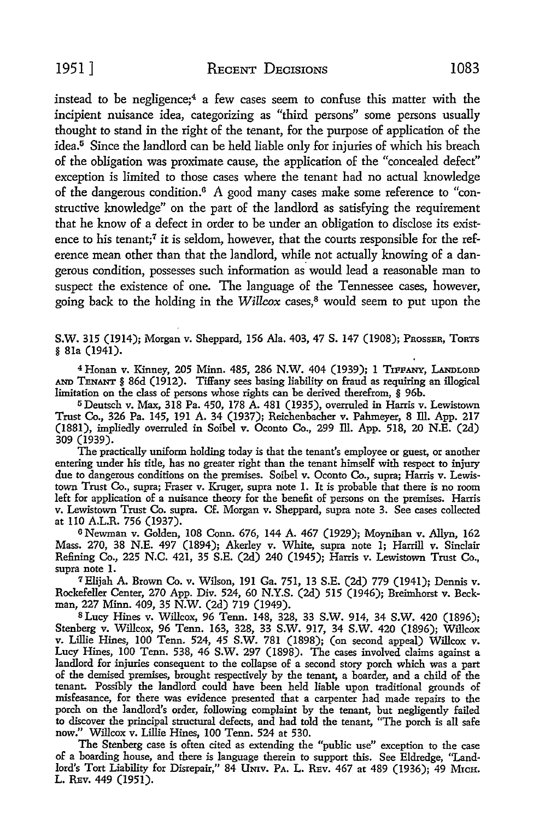instead to be negligence;<sup>4</sup>a few cases seem to confuse this matter with the incipient nuisance idea, categorizing as "third persons" some persons usually thought to stand in the right of the tenant, for the purpose of application of the idea.<sup>5</sup> Since the landlord can be held liable only for injuries of which his breach of the obligation was proximate cause, the application of the "concealed defect" exception is limited to those cases where the tenant had no actual knowledge of the dangerous condition.6 A good many cases make some reference to "constructive knowledge" on the part of the landlord as satisfying the requirement that he know of a defect in order to be under an obligation to disclose its existence to his tenant;<sup>7</sup> it is seldom, however, that the courts responsible for the reference mean other than that the landlord, while not actually knowing of a dangerous condition, possesses such information as· would lead a reasonable man to suspect the existence of one. The language of the Tennessee cases, however, going back to the holding in the *Willcox* cases,8 would seem to put upon the

S.W. 315 (1914); Morgan v. Sheppard, 156 Ala. 403, 47 S. 147 (1908); PROSSER, ToRTS § 81a (1941).

<sup>4</sup> Honan v. Kinney, 205 Minn. 485, 286 N.W. 404 (1939); 1 TIFFANY, LANDLORD AND TENANT § 86d (1912). Tiffany sees basing liability on fraud as requiring an illogical limitation on the class of persons whose rights can be derived therefrom, § 96b.

<sup>5</sup>Deutsch v. Max, 318 Pa. 450, 178 A. 481 (1935), overruled in Harris v. Lewistown Trust Co., 326 Pa. 145, 191 A. 34 (1937); Reichenbacher v. Pahmeyer, 8 ID. App. 217 (1881), impliedly overruled in Soibel v. Oconto Co., 299 ID. App. 518, 20 N.E. (2d) 309 (1939).

The practically uniform holding today is that the tenant's employee or guest, or another entering under his title, has no greater right than the tenant himself with respect to injury due to dangerous conditions on the premises. Soibel v. Oconto Co., supra; Harris v. Lewistown Trust Co., supra; Fraser v. Kruger, supra note 1. It is probable that there is no room left for application of a nuisance theory for the benefit of persons on the premises. Harris v. Lewistown Trust Co. supra. Cf. Morgan v. Sheppard, supra note 3. See cases collected at 110 A.L.R. 756 (1937).

<sup>6</sup>Newman v. Golden, 108 Conn. 676, 144 A. 467 (1929); Moynihan v. Allyn, 162 Mass. 270, 38 N.E. 497 (1894); Akerley v. White, supra note 1; Harrill v. Sinclair Refining Co., 225 N.C. 421, 35 S.E. (2d) 240 (1945); Harris v. Lewistown Trust Co., supra note l.

<sup>7</sup> Elijah A. Brown Co. v. Wilson, 191 Ga. 751, 13 S.E. (2d) 779 (1941); Dennis v. Rockefeller Center, 270 App. Div. 524, 60 N.Y.S. (2d) 515 (1946); Breimhorst v. Beckman, 227 Minn. 409, 35 N.W. (2d) 719 (1949).

8 Lucy Hines v. Willcox, 96 Tenn. 148, 328, 33 S.W. 914, 34 S.W. 420 (1896); Stenberg v. Willcox, 96 Tenn. 163, 328, 33 S.W. 917, 34 S.W. 420 (1896); Willcox v. Lillie Hines, 100 Tenn. 524, 45 S.W. 781 (1898); (on second appeal) Willcox v. Lucy Hines, 100 Tenn. 538, 46 S.W. 297 (1898). The cases involved claims against a landlord for injuries consequent to the collapse of a second story porch which was a part of the demised premises, brought respectively by the tenant, a boarder, and a child of the tenant. Possibly the landlord could have been held liable upon traditional grounds of misfeasance, for there was evidence presented that a carpenter had made repairs to the porch on the landlord's order, following complaint by the tenant, but negligently failed to discover the principal structural defects, and had told the tenant, "The porch is all safe now.'' Willcox v. Lillie Hines, 100 Tenn. 524 at 530.

The Stenberg case is often cited as extending the "public use" exception to the case of a boarding house, and there is language therein to support this. See Eldredge, ''Landlord's Tort Liability for Disrepair," 84 UNIV. PA. L. REV. 467 at 489 (1936); 49 MICH. L. REv. 449 (1951).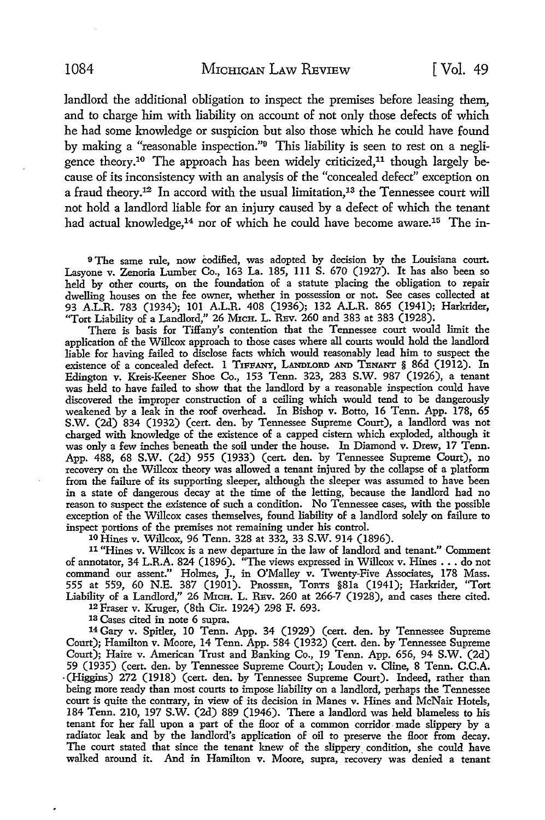landlord the additional obligation to inspect the premises before leasing them., and to charge him with liability on account of not only those defects of which he had some knowledge or suspicion but also those which he could have found by making a "reasonable inspection."9 This liability is seen to rest on a negligence theory.<sup>10</sup> The approach has been widely criticized,<sup>11</sup> though largely because of its inconsistency with an analysis of the "concealed defect" exception on a fraud theory.12 In accord with the usual limitation,13 the Tennessee court will not hold a landlord liable for an injury caused by a defect of which the tenant had actual knowledge,<sup>14</sup> nor of which he could have become aware.<sup>15</sup> The in-

<sup>9</sup>The same rule, now codified, was adopted by decision by the Louisiana court. Lasyone v. Zenoria Lumber Co., 163 La. 185, Ill S. 670 (1927). It has also been so held by other courts, on the foundation of a statute placing the obligation to repair dwelling houses on the fee owner, whether in possession or not. See cases collected at 93 A.L.R. 783 (1934); 101 A.L.R. 408 (1936); 132 A.L.R. 865 (1941); Harkrider, "Tort Liability of a Landlord," 26 MICH. L. REv. 260 and 383 at 383 (1928).

There is basis for Tiffany's contention that the Tennessee court would limit the application of the Willcox approach to those cases where all courts would hold the landlord liable for having failed to disclose facts which would reasonably lead him to suspect the existence of a concealed defect. I TIFFANY, LANDLORD AND TENANT § 86d (1912). In Edington v. Kreis-Keener Shoe Co., 153 Tenn. 323, 283 S.W. 987 (1926), a tenant was held to have failed to show that the landlord by a reasonable inspection could have discovered the improper construction of a ceiling which would tend to be dangerously weakened by a leak in the roof overhead. In Bishop v. Botto, 16 Tenn. App. 178, 65 S.W. (2d) 834 (1932) (cert. den. by Tennessee Supreme Court), a landlord was not charged with knowledge of the existence of a capped cistern which exploded, although it was only a few inches beneath the soil under the house. In Diamond v. Drew, 17 Tenn. App. 488, 68 S.W. (2d) 955 (1933) (cert. den. by Tennessee Supreme Court), no recovery on the Willcox theory was allowed a tenant injured by the collapse of a platform from the failure of its supporting sleeper, although the sleeper was assumed to have been in a state of dangerous decay at the time of the letting, because the landlord had no reason to suspect the existence of such a condition. No Tennessee cases, with the possible exception of the Willcox cases themselves, found liability of a landlord solely on failure to inspect portions of the premises not remaining under his control.

10 Hines v. Willcox, 96 Tenn. 328 at 332, 33 S.W. 914 (1896).

11 "Hines v. Willcox is a new departure in the law of landlord and tenant." Comment of annotator, 34 L.R.A. 824 (1896). "The views expressed in Willcox v. Hines •.. do not command our assent." Holmes, J., in O'Malley v. Twenty-Five Associates, 178 Mass. 555 at 559, 60 N.E. 387 (1901). PROSSER, TORTS §Sla (1941); Harkrider, "Tort Liability of a Landlord," 26 MrcH. L. REv. 260 at 266-7 (1928), and cases there cited.

12 Fraser v. Kruger, (8th Cir. 1924) 298 F. 693.

13 Cases cited in note 6 supra.

14 Gary v. Spitler, IO Tenn. App. 34 (1929) (cert. den. by Tennessee Supreme Court); Hamilton v. Moore, 14 Tenn. App. 584 (1932) (cert. den. by Tennessee Supreme Court); Haire v. American Trust and Banking Co., 19 Tenn. App. 656, 94 S.W. (2d) 59 (1935) (cert. den. by Tennessee Supreme Court); Louden v. Cline, 8 Tenn. C.C.A. · (Higgins) 272 (1918) (cert. den. by Tennessee Supreme Court). Indeed, rather than being more ready than most courts to impose liability on a landlord, perhaps the Tennessee court is quite the contrary, in view of its decision in Manes v. Hines and McNair Hotels, 184 Tenn. 210, 197 S.W. (2d) 889 (1946). There a landlord was held blameless to his tenant for her fall upon a part of the floor of a common corridor made slippery by a radiator leak and by the landlord's application of oil to preserve the floor from decay. The court stated that since the tenant knew of the slippery\_ condition, she could have walked around it. And in Hamilton v. Moore, supra, recovery was denied a tenant